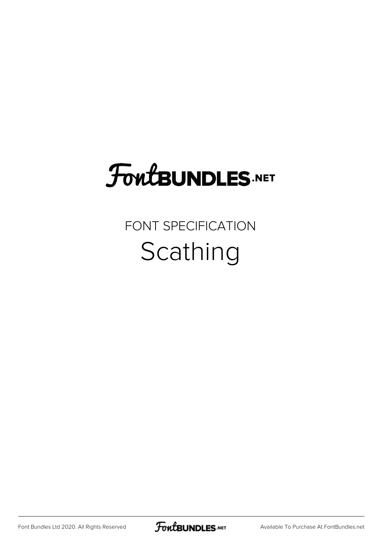## **FoutBUNDLES.NET**

## FONT SPECIFICATION Scathing

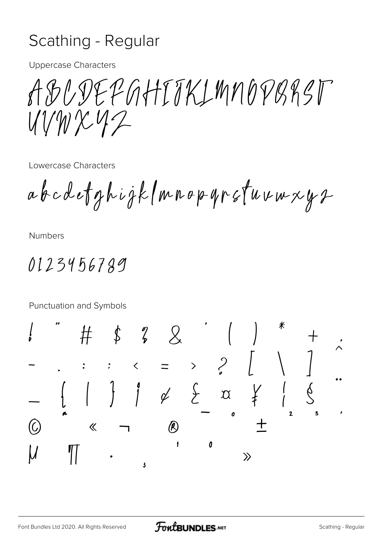## Scathing - Regular

**Uppercase Characters** 

CDEPGHTTKLMNOPBRST  $VWXY2$ 

Lowercase Characters

abcdetghigk (mnop yr stuvwxys

**Numbers** 

0123456789

Punctuation and Symbols

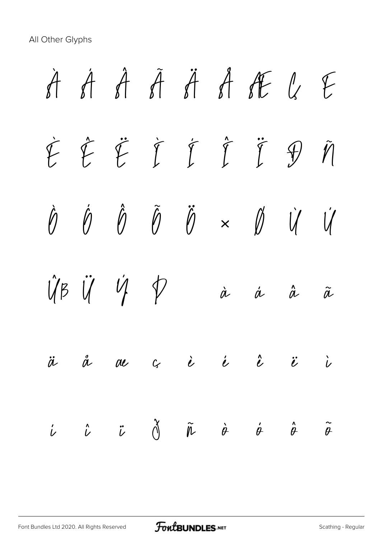All Other Glyphs

*À Á Â Ã Ä Å Æ Ç È É Ê Ë Ì Í Î Ï Ð Ñ Ò Ó Ô Õ Ö × Ø Ù Ú Û Ü Ý Þ ß à á â ã ä å æ ç è é ê ë ì í î ï ð ñ ò ó ô õ*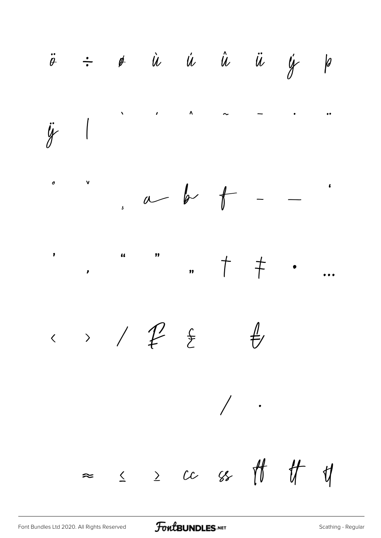$\ddot{\theta}$   $\div$   $\dot{\theta}$   $\dot{u}$   $\dot{u}$   $\dot{u}$   $\ddot{u}$   $\dot{y}$   $\dot{\beta}$  $\mathbf{A}$  $\lambda$  $\ddot{y}$  |  $\mathbf v$  $\boldsymbol{\theta}$  $a$  b  $f$  $\overline{\phantom{0}}$  $\cdot$  ,  $\uparrow$  .  $\frac{1}{2}$  $\bullet$  $\overline{a}$  $\longleftrightarrow$  /  $f$  }  $\frac{1}{\sqrt{2}}$  $\bigg)$  .  $\approx$   $\le$   $\ge$   $cc$   $ss$   $\#$   $\#$   $\psi$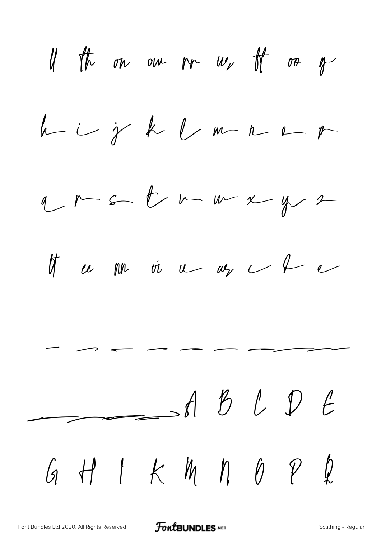If the one one pre-us of or of  $h - i - j$  k l m r r r  $y \sim 5$  b m m x y 2 If  $\omega$  pp or  $\omega$   $\omega_{\gamma}$   $\omega$  f  $\epsilon$   $\rightarrow$ ABLDE GHIKMMPP2